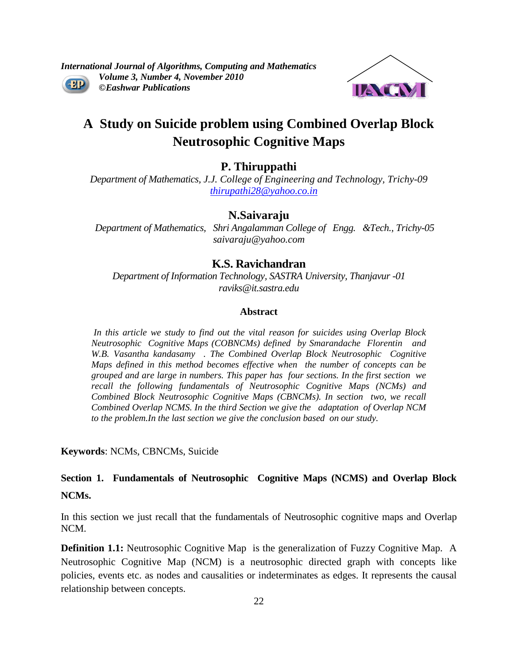*International Journal of Algorithms, Computing and Mathematics Volume 3, Number 4, November 2010*  $-2D$ *©Eashwar Publications*



# **A Study on Suicide problem using Combined Overlap Block Neutrosophic Cognitive Maps**

# **P. Thiruppathi**

*Department of Mathematics, J.J. College of Engineering and Technology, Trichy-09 [thirupathi28@yahoo.co.in](mailto:thirupathi28@yahoo.co.in)*

## **N.Saivaraju**

 *Department of Mathematics, Shri Angalamman College of Engg. &Tech., Trichy-05 [saivaraju@yahoo.com](mailto:saivaraju@yahoo.com)*

## **K.S. Ravichandran**

*Department of Information Technology, SASTRA University, Thanjavur -01 raviks@it.sastra.edu*

## **Abstract**

*In this article we study to find out the vital reason for suicides using Overlap Block Neutrosophic Cognitive Maps (COBNCMs) defined by Smarandache Florentin and W.B. Vasantha kandasamy . The Combined Overlap Block Neutrosophic Cognitive Maps defined in this method becomes effective when the number of concepts can be grouped and are large in numbers. This paper has four sections. In the first section we recall the following fundamentals of Neutrosophic Cognitive Maps (NCMs) and Combined Block Neutrosophic Cognitive Maps (CBNCMs). In section two, we recall Combined Overlap NCMS. In the third Section we give the adaptation of Overlap NCM to the problem.In the last section we give the conclusion based on our study.*

**Keywords**: NCMs, CBNCMs, Suicide

**Section 1. Fundamentals of Neutrosophic Cognitive Maps (NCMS) and Overlap Block NCMs.**

In this section we just recall that the fundamentals of Neutrosophic cognitive maps and Overlap NCM.

**Definition 1.1:** Neutrosophic Cognitive Map is the generalization of Fuzzy Cognitive Map.A Neutrosophic Cognitive Map (NCM) is a neutrosophic directed graph with concepts like policies, events etc. as nodes and causalities or indeterminates as edges. It represents the causal relationship between concepts.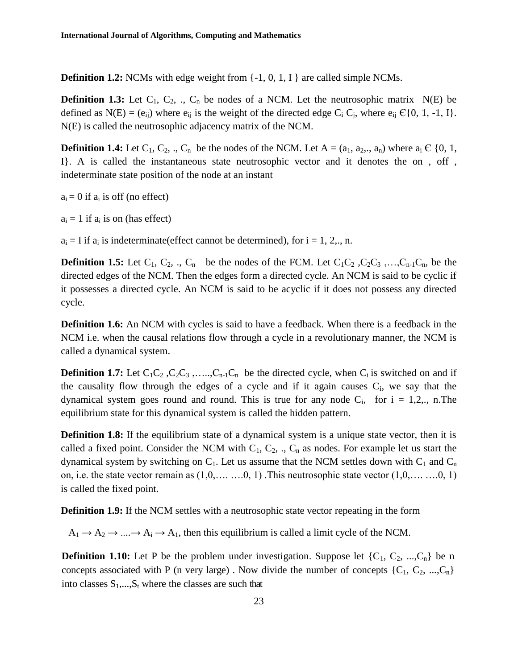**Definition 1.2:** NCMs with edge weight from  $\{-1, 0, 1, 1\}$  are called simple NCMs.

**Definition 1.3:** Let  $C_1$ ,  $C_2$ , .,  $C_n$  be nodes of a NCM. Let the neutrosophic matrix  $N(E)$  be defined as  $N(E) = (e_{ij})$  where  $e_{ij}$  is the weight of the directed edge  $C_i$   $C_j$ , where  $e_{ij} \in \{0, 1, -1, 1\}$ . N(E) is called the neutrosophic adjacency matrix of the NCM.

**Definition 1.4:** Let  $C_1$ ,  $C_2$ , .,  $C_n$  be the nodes of the NCM. Let  $A = (a_1, a_2, a_n)$  where  $a_i \in \{0, 1, \ldots, n\}$ I}. A is called the instantaneous state neutrosophic vector and it denotes the on , off , indeterminate state position of the node at an instant

 $a_i = 0$  if  $a_i$  is off (no effect)

 $a_i = 1$  if  $a_i$  is on (has effect)

 $a_i = I$  if  $a_i$  is indeterminate (effect cannot be determined), for  $i = 1, 2, \ldots, n$ .

**Definition 1.5:** Let  $C_1$ ,  $C_2$ , .,  $C_n$  be the nodes of the FCM. Let  $C_1C_2$ ,  $C_2C_3$ ,..., $C_{n-1}C_n$ , be the directed edges of the NCM. Then the edges form a directed cycle. An NCM is said to be cyclic if it possesses a directed cycle. An NCM is said to be acyclic if it does not possess any directed cycle.

**Definition 1.6:** An NCM with cycles is said to have a feedback. When there is a feedback in the NCM i.e. when the causal relations flow through a cycle in a revolutionary manner, the NCM is called a dynamical system.

**Definition 1.7:** Let  $C_1C_2$ ,  $C_2C_3$ , .....,  $C_{n-1}C_n$  be the directed cycle, when  $C_i$  is switched on and if the causality flow through the edges of a cycle and if it again causes  $C_i$ , we say that the dynamical system goes round and round. This is true for any node  $C_i$ , for  $i = 1,2,..$ , n. The equilibrium state for this dynamical system is called the hidden pattern.

**Definition 1.8:** If the equilibrium state of a dynamical system is a unique state vector, then it is called a fixed point. Consider the NCM with  $C_1, C_2, \ldots, C_n$  as nodes. For example let us start the dynamical system by switching on  $C_1$ . Let us assume that the NCM settles down with  $C_1$  and  $C_n$ on, i.e. the state vector remain as  $(1,0,\ldots, 0, 1)$ . This neutrosophic state vector  $(1,0,\ldots, 0, 1)$ is called the fixed point.

**Definition 1.9:** If the NCM settles with a neutrosophic state vector repeating in the form

 $A_1 \rightarrow A_2 \rightarrow \dots \rightarrow A_i \rightarrow A_1$ , then this equilibrium is called a limit cycle of the NCM.

**Definition 1.10:** Let P be the problem under investigation. Suppose let  $\{C_1, C_2, ..., C_n\}$  be n concepts associated with P (n very large). Now divide the number of concepts  $\{C_1, C_2, ..., C_n\}$ into classes  $S_1$ ,..., $S_t$  where the classes are such that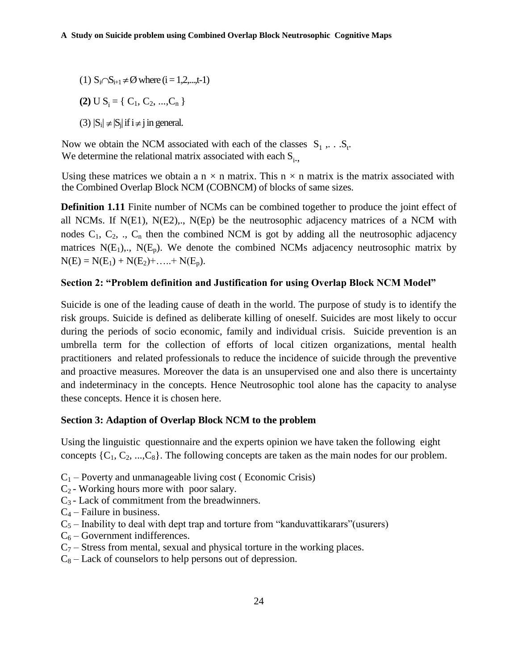- (1)  $S_i \cap S_{i+1} \neq \emptyset$  where  $(i = 1, 2, \dots, t-1)$
- **(2)**  $U S_i = \{ C_1, C_2, ..., C_n \}$

(3)  $|S_i| \neq |S_j|$  if  $i \neq j$  in general.

Now we obtain the NCM associated with each of the classes  $S_1$ ,... $S_t$ . We determine the relational matrix associated with each  $S_i$ .

Using these matrices we obtain a  $n \times n$  matrix. This  $n \times n$  matrix is the matrix associated with the Combined Overlap Block NCM (COBNCM) of blocks of same sizes.

**Definition 1.11** Finite number of NCMs can be combined together to produce the joint effect of all NCMs. If  $N(E1)$ ,  $N(E2)$ ,.,  $N(Ep)$  be the neutrosophic adjacency matrices of a NCM with nodes  $C_1$ ,  $C_2$ , .,  $C_n$  then the combined NCM is got by adding all the neutrosophic adjacency matrices  $N(E_1)$ ,  $N(E_p)$ . We denote the combined NCMs adjacency neutrosophic matrix by  $N(E) = N(E_1) + N(E_2) + \ldots + N(E_p).$ 

## **Section 2: "Problem definition and Justification for using Overlap Block NCM Model"**

Suicide is one of the leading cause of death in the world. The purpose of study is to identify the risk groups. Suicide is defined as deliberate killing of oneself. Suicides are most likely to occur during the periods of socio economic, family and individual crisis. Suicide prevention is an umbrella term for the collection of efforts of local citizen organizations, mental health practitioners and related professionals to reduce the incidence of suicide through the preventive and proactive measures. Moreover the data is an unsupervised one and also there is uncertainty and indeterminacy in the concepts. Hence Neutrosophic tool alone has the capacity to analyse these concepts. Hence it is chosen here.

## **Section 3: Adaption of Overlap Block NCM to the problem**

Using the linguistic questionnaire and the experts opinion we have taken the following eight concepts  $\{C_1, C_2, ..., C_8\}$ . The following concepts are taken as the main nodes for our problem.

- $C_1$  Poverty and unmanageable living cost (Economic Crisis)
- $C_2$  Working hours more with poor salary.
- $C_3$  Lack of commitment from the breadwinners.
- $C_4$  Failure in business.
- $C_5$  Inability to deal with dept trap and torture from "kanduvattikarars" (usurers)
- $C_6$  Government indifferences.
- $C_7$  Stress from mental, sexual and physical torture in the working places.
- $C_8$  Lack of counselors to help persons out of depression.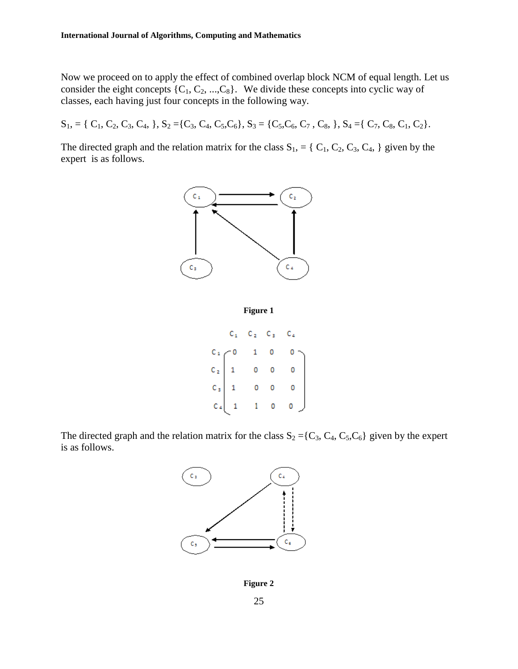Now we proceed on to apply the effect of combined overlap block NCM of equal length. Let us consider the eight concepts  $\{C_1, C_2, ..., C_8\}$ . We divide these concepts into cyclic way of classes, each having just four concepts in the following way.

 $S_1$ , = { C<sub>1</sub>, C<sub>2</sub>, C<sub>3</sub>, C<sub>4</sub>, }, S<sub>2</sub> ={C<sub>3</sub>, C<sub>4</sub>, C<sub>5</sub>,C<sub>6</sub>}, S<sub>3</sub> = {C<sub>5</sub>,C<sub>6</sub>, C<sub>7</sub>, C<sub>8</sub>, }, S<sub>4</sub> ={ C<sub>7</sub>, C<sub>8</sub>, C<sub>1</sub>, C<sub>2</sub>}.

The directed graph and the relation matrix for the class  $S_1$ , = { C<sub>1</sub>, C<sub>2</sub>, C<sub>3</sub>, C<sub>4</sub>, } given by the expert is as follows.





|                                                         | $C_{1}$ |             | $\mathbb{C}_{(2)}=\mathbb{C}_{(3)}=\mathbb{C}_{(4)}$                                                    |
|---------------------------------------------------------|---------|-------------|---------------------------------------------------------------------------------------------------------|
| $C_1$<br>$C_2$<br>$C_3$<br>$C_4$<br>$1$<br>$C_4$<br>$1$ |         | $1 \quad 0$ | $\begin{array}{cccc} 1 & 0 & 0 \\ & & 0 & 0 \\ & & & 0 & 0 \\ & & 0 & 0 & 0 \\ & 1 & 0 & 0 \end{array}$ |
|                                                         |         |             |                                                                                                         |
|                                                         |         |             |                                                                                                         |
|                                                         |         |             |                                                                                                         |

The directed graph and the relation matrix for the class  $S_2 = \{C_3, C_4, C_5, C_6\}$  given by the expert is as follows.



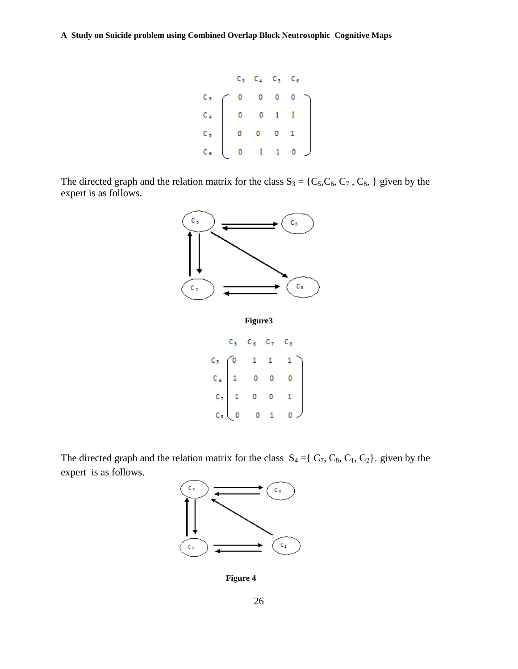|                                  |             | $C_3 - C_4 - C_5 - C_6$                   |                         |              |   |
|----------------------------------|-------------|-------------------------------------------|-------------------------|--------------|---|
|                                  |             | $\overline{\mathbf{0}}$                   | 0                       |              |   |
|                                  |             |                                           |                         | $\mathbf{I}$ |   |
| $C_3$<br>$C_4$<br>$C_5$<br>$C_6$ | $\mathbf 0$ | $\overline{0}$                            | $\overline{\mathbf{0}}$ |              |   |
|                                  |             | $\begin{pmatrix} 0 & I & 1 \end{pmatrix}$ |                         | o            | J |

The directed graph and the relation matrix for the class  $S_3 = \{C_5, C_6, C_7, C_8, \}$  given by the expert is as follows.



**Figure3**

|  | $C_6 = C_7$ | $C_{\rm B}$                                                                                                                                                         |
|--|-------------|---------------------------------------------------------------------------------------------------------------------------------------------------------------------|
|  |             |                                                                                                                                                                     |
|  |             | $C_5$ $C_6$ $\begin{pmatrix} 0 & 1 & 1 & 1 \\ 1 & 0 & 0 & 0 \\ 1 & 0 & 0 & 1 \\ 1 & 0 & 0 & 1 \end{pmatrix}$<br>$C_8$ $\begin{pmatrix} 0 & 0 & 1 & 0 \end{pmatrix}$ |
|  |             |                                                                                                                                                                     |
|  |             |                                                                                                                                                                     |

The directed graph and the relation matrix for the class  $S_4 = \{ C_7, C_8, C_1, C_2 \}$ . given by the expert is as follows.



**Figure 4**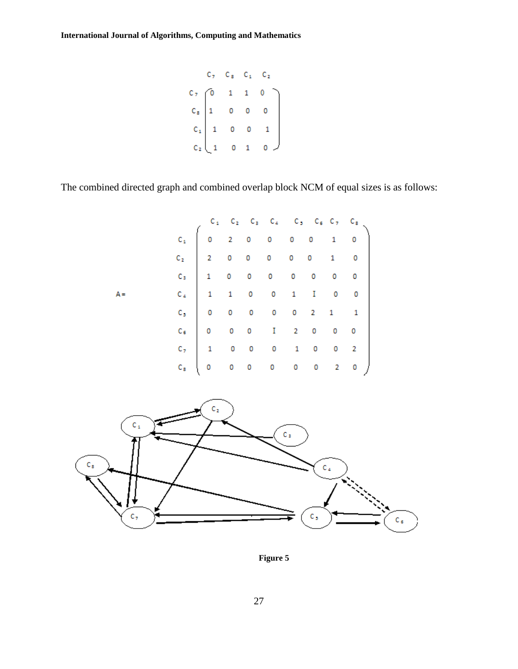$$
\begin{array}{cccccc}\nC_7 & C_8 & C_1 & C_2 \\
C_7 & 0 & 1 & 1 & 0 \\
C_8 & 1 & 0 & 0 & 0 \\
C_1 & 1 & 0 & 0 & 1 \\
C_2 & 1 & 0 & 1 & 0\n\end{array}
$$

The combined directed graph and combined overlap block NCM of equal sizes is as follows:





**Figure 5**